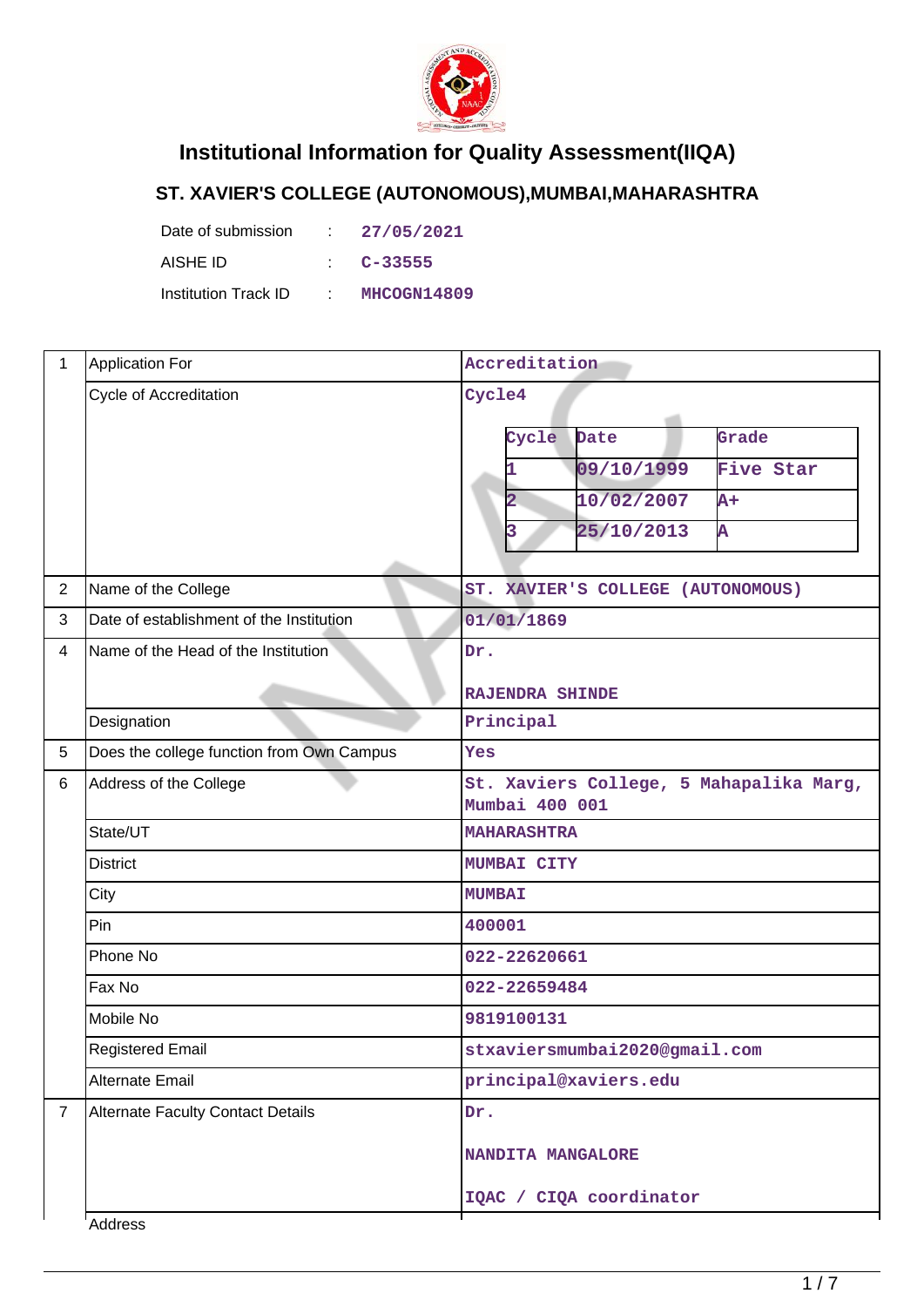

## **Institutional Information for Quality Assessment(IIQA)**

## **ST. XAVIER'S COLLEGE (AUTONOMOUS),MUMBAI,MAHARASHTRA**

| Date of submission   | in Der | 27/05/2021  |
|----------------------|--------|-------------|
| AISHE ID             |        | $C - 33555$ |
| Institution Track ID |        | MHCOGN14809 |

| $\mathbf{1}$   | <b>Application For</b>                    | Accreditation                                             |
|----------------|-------------------------------------------|-----------------------------------------------------------|
|                | Cycle of Accreditation                    | Cycle4                                                    |
|                |                                           | Grade<br>Cycle<br>Date                                    |
|                |                                           | 09/10/1999<br>Five Star                                   |
|                |                                           | 10/02/2007<br>$A+$<br>2                                   |
|                |                                           | 25/10/2013<br>Ā<br>3                                      |
| $\overline{2}$ | Name of the College                       | ST. XAVIER'S COLLEGE (AUTONOMOUS)                         |
| 3              | Date of establishment of the Institution  | 01/01/1869                                                |
| $\overline{4}$ | Name of the Head of the Institution       | Dr.                                                       |
|                |                                           | <b>RAJENDRA SHINDE</b>                                    |
|                | Designation                               | Principal                                                 |
| 5              | Does the college function from Own Campus | Yes                                                       |
| 6              | Address of the College                    | St. Xaviers College, 5 Mahapalika Marg,<br>Mumbai 400 001 |
|                | State/UT                                  | <b>MAHARASHTRA</b>                                        |
|                | <b>District</b>                           | MUMBAI CITY                                               |
|                | City                                      | <b>MUMBAI</b>                                             |
|                | Pin                                       | 400001                                                    |
|                | Phone No                                  | 022-22620661                                              |
|                | Fax No                                    | 022-22659484                                              |
|                | Mobile No                                 | 9819100131                                                |
|                | <b>Registered Email</b>                   | stxaviersmumbai2020@gmail.com                             |
|                | <b>Alternate Email</b>                    | principal@xaviers.edu                                     |
| $\overline{7}$ | <b>Alternate Faculty Contact Details</b>  | Dr.                                                       |
|                |                                           | NANDITA MANGALORE                                         |
|                |                                           | IQAC / CIQA coordinator                                   |
|                | Address                                   |                                                           |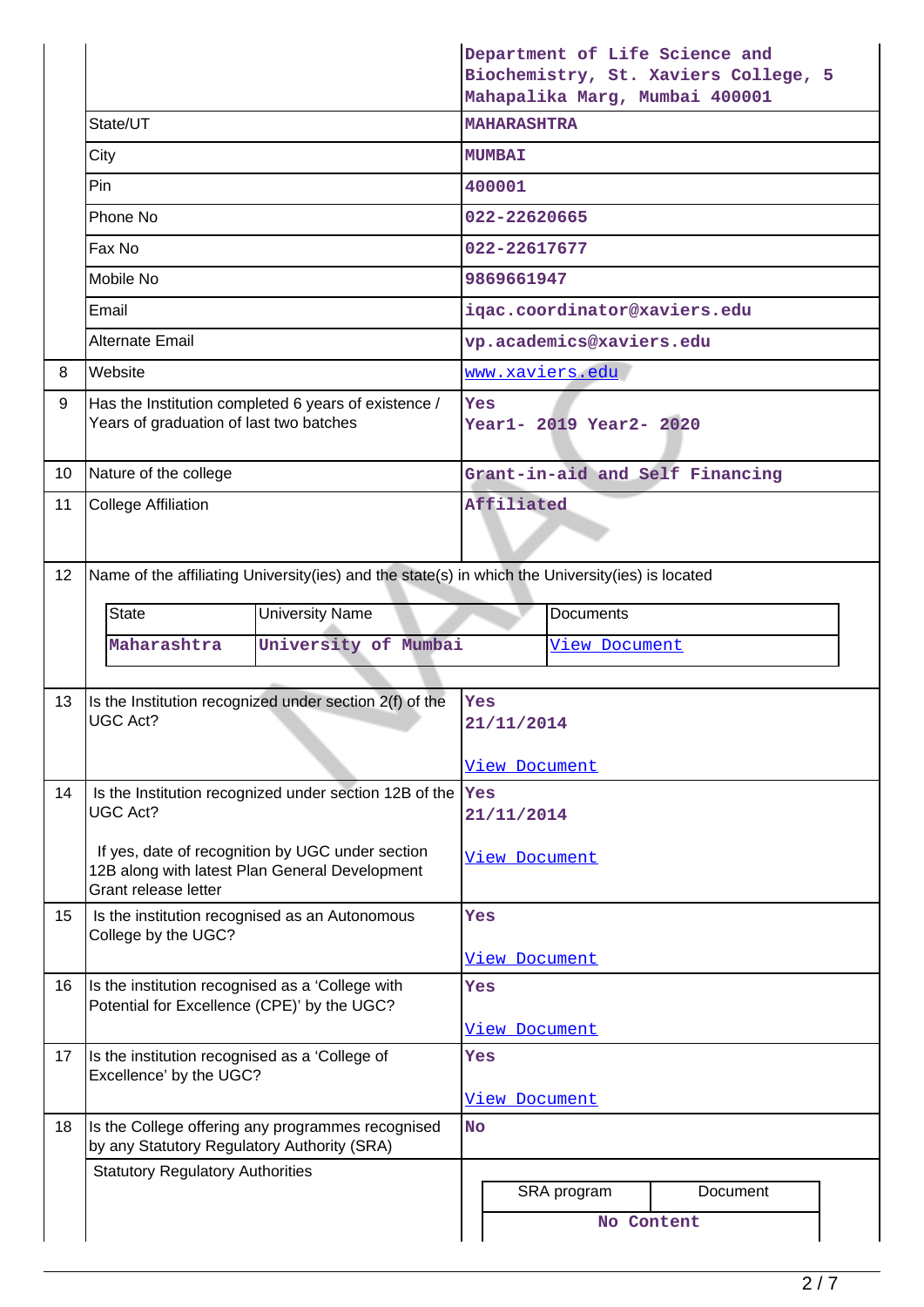|                 |                                                                                                                            | Department of Life Science and<br>Biochemistry, St. Xaviers College, 5<br>Mahapalika Marg, Mumbai 400001 |  |  |
|-----------------|----------------------------------------------------------------------------------------------------------------------------|----------------------------------------------------------------------------------------------------------|--|--|
|                 | State/UT                                                                                                                   | <b>MAHARASHTRA</b>                                                                                       |  |  |
|                 | City                                                                                                                       | <b>MUMBAI</b>                                                                                            |  |  |
|                 | Pin                                                                                                                        | 400001                                                                                                   |  |  |
|                 | Phone No                                                                                                                   | 022-22620665                                                                                             |  |  |
|                 | Fax No                                                                                                                     | 022-22617677                                                                                             |  |  |
|                 | Mobile No                                                                                                                  | 9869661947                                                                                               |  |  |
|                 | Email                                                                                                                      | iqac.coordinator@xaviers.edu                                                                             |  |  |
|                 | <b>Alternate Email</b>                                                                                                     | vp.academics@xaviers.edu                                                                                 |  |  |
| 8               | Website                                                                                                                    | www.xaviers.edu                                                                                          |  |  |
| 9               | Has the Institution completed 6 years of existence /<br>Years of graduation of last two batches                            | Yes<br>Year1- 2019 Year2- 2020                                                                           |  |  |
| 10              | Nature of the college                                                                                                      | Grant-in-aid and Self Financing                                                                          |  |  |
| 11              | <b>College Affiliation</b>                                                                                                 | Affiliated                                                                                               |  |  |
| 12 <sup>°</sup> | Name of the affiliating University(ies) and the state(s) in which the University(ies) is located                           |                                                                                                          |  |  |
|                 | <b>State</b><br><b>University Name</b>                                                                                     | <b>Documents</b>                                                                                         |  |  |
|                 | University of Mumbai<br>Maharashtra                                                                                        | <u>View Document</u>                                                                                     |  |  |
|                 |                                                                                                                            |                                                                                                          |  |  |
| 13              | Is the Institution recognized under section 2(f) of the<br><b>UGC Act?</b>                                                 | Yes<br>21/11/2014                                                                                        |  |  |
|                 |                                                                                                                            | <u>View Document</u>                                                                                     |  |  |
| 14              | Is the Institution recognized under section 12B of the  Yes<br><b>UGC Act?</b>                                             | 21/11/2014                                                                                               |  |  |
|                 | If yes, date of recognition by UGC under section<br>12B along with latest Plan General Development<br>Grant release letter | <u>View Document</u>                                                                                     |  |  |
| 15              | Is the institution recognised as an Autonomous<br>College by the UGC?                                                      | Yes                                                                                                      |  |  |
|                 |                                                                                                                            | <u>View Document</u>                                                                                     |  |  |
| 16              | Is the institution recognised as a 'College with<br>Potential for Excellence (CPE)' by the UGC?                            | Yes                                                                                                      |  |  |
|                 |                                                                                                                            | <u>View Document</u>                                                                                     |  |  |
| 17              | Is the institution recognised as a 'College of<br>Excellence' by the UGC?                                                  | Yes<br>View Document                                                                                     |  |  |
| 18              | Is the College offering any programmes recognised                                                                          | <b>No</b>                                                                                                |  |  |
|                 | by any Statutory Regulatory Authority (SRA)<br><b>Statutory Regulatory Authorities</b>                                     |                                                                                                          |  |  |
|                 |                                                                                                                            | SRA program<br>Document                                                                                  |  |  |
|                 |                                                                                                                            | No Content                                                                                               |  |  |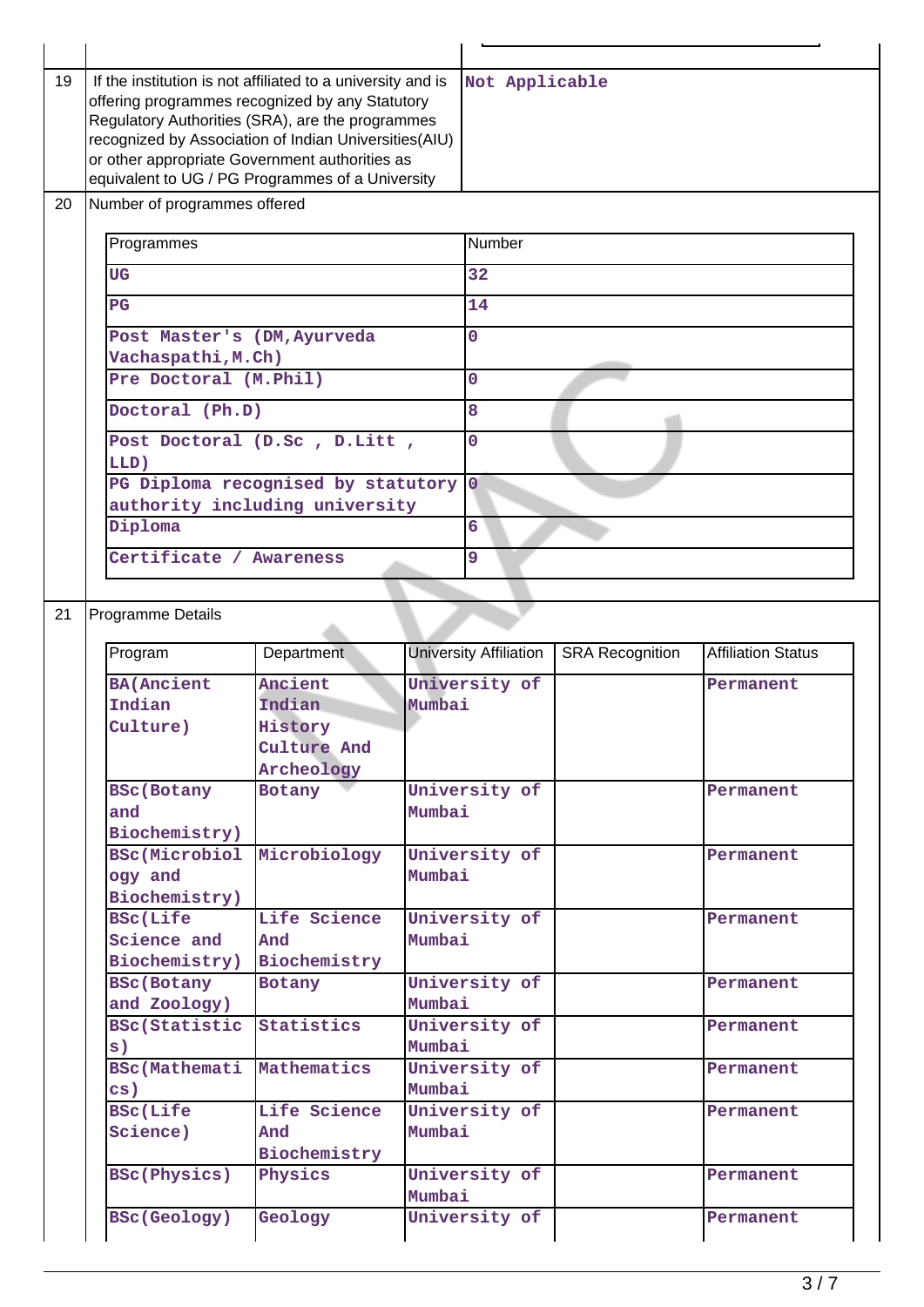| 19 | If the institution is not affiliated to a university and is<br>offering programmes recognized by any Statutory<br>Regulatory Authorities (SRA), are the programmes<br>recognized by Association of Indian Universities(AIU)<br>or other appropriate Government authorities as<br>equivalent to UG / PG Programmes of a University |                                      | Not Applicable |                               |                        |                           |
|----|-----------------------------------------------------------------------------------------------------------------------------------------------------------------------------------------------------------------------------------------------------------------------------------------------------------------------------------|--------------------------------------|----------------|-------------------------------|------------------------|---------------------------|
| 20 | Number of programmes offered                                                                                                                                                                                                                                                                                                      |                                      |                |                               |                        |                           |
|    | Programmes                                                                                                                                                                                                                                                                                                                        |                                      | Number         |                               |                        |                           |
|    | UG                                                                                                                                                                                                                                                                                                                                |                                      |                | 32                            |                        |                           |
|    | $_{\rm PG}$                                                                                                                                                                                                                                                                                                                       |                                      |                | 14                            |                        |                           |
|    | Post Master's (DM, Ayurveda                                                                                                                                                                                                                                                                                                       |                                      |                | $\overline{0}$                |                        |                           |
|    | Vachaspathi, M.Ch)                                                                                                                                                                                                                                                                                                                |                                      |                |                               |                        |                           |
|    | Pre Doctoral (M.Phil)                                                                                                                                                                                                                                                                                                             |                                      |                | $\overline{0}$                |                        |                           |
|    | Doctoral (Ph.D)                                                                                                                                                                                                                                                                                                                   |                                      |                | 8                             |                        |                           |
|    |                                                                                                                                                                                                                                                                                                                                   | Post Doctoral (D.Sc, D.Litt,         |                | $\overline{0}$                |                        |                           |
|    | LLD)                                                                                                                                                                                                                                                                                                                              | PG Diploma recognised by statutory 0 |                |                               |                        |                           |
|    |                                                                                                                                                                                                                                                                                                                                   | authority including university       |                |                               |                        |                           |
|    | Diploma                                                                                                                                                                                                                                                                                                                           |                                      |                | 6                             |                        |                           |
|    | Certificate / Awareness                                                                                                                                                                                                                                                                                                           |                                      | 9              |                               |                        |                           |
|    |                                                                                                                                                                                                                                                                                                                                   |                                      |                |                               |                        |                           |
| 21 | Programme Details                                                                                                                                                                                                                                                                                                                 |                                      |                |                               |                        |                           |
|    |                                                                                                                                                                                                                                                                                                                                   |                                      |                |                               |                        |                           |
|    | Program                                                                                                                                                                                                                                                                                                                           | Department                           |                | <b>University Affiliation</b> | <b>SRA Recognition</b> | <b>Affiliation Status</b> |
|    | <b>BA(Ancient</b>                                                                                                                                                                                                                                                                                                                 | Ancient                              |                | University of                 |                        | Permanent                 |
|    | Indian                                                                                                                                                                                                                                                                                                                            | Indian                               | Mumbai         |                               |                        |                           |
|    | Culture)                                                                                                                                                                                                                                                                                                                          | History                              |                |                               |                        |                           |
|    |                                                                                                                                                                                                                                                                                                                                   |                                      |                |                               |                        |                           |
|    |                                                                                                                                                                                                                                                                                                                                   | Culture And                          |                |                               |                        |                           |
|    |                                                                                                                                                                                                                                                                                                                                   | Archeology                           |                |                               |                        |                           |
|    | <b>BSc(Botany</b>                                                                                                                                                                                                                                                                                                                 | Botany                               |                | University of                 |                        | Permanent                 |
|    | and                                                                                                                                                                                                                                                                                                                               |                                      | Mumbai         |                               |                        |                           |
|    | Biochemistry)                                                                                                                                                                                                                                                                                                                     |                                      |                |                               |                        |                           |
|    | BSc(Microbiol<br>ogy and                                                                                                                                                                                                                                                                                                          | Microbiology                         | Mumbai         | University of                 |                        | Permanent                 |
|    | Biochemistry)                                                                                                                                                                                                                                                                                                                     |                                      |                |                               |                        |                           |
|    | <b>BSC(Life</b>                                                                                                                                                                                                                                                                                                                   | Life Science                         |                | University of                 |                        | Permanent                 |
|    | Science and                                                                                                                                                                                                                                                                                                                       | And                                  | Mumbai         |                               |                        |                           |
|    | Biochemistry)                                                                                                                                                                                                                                                                                                                     | Biochemistry                         |                |                               |                        |                           |
|    | <b>BSc(Botany</b>                                                                                                                                                                                                                                                                                                                 | Botany                               |                | University of                 |                        | Permanent                 |
|    | and Zoology)                                                                                                                                                                                                                                                                                                                      |                                      | Mumbai         |                               |                        |                           |
|    | <b>BSc(Statistic</b>                                                                                                                                                                                                                                                                                                              | Statistics                           |                | University of                 |                        | Permanent                 |
|    | s)<br><b>BSc(Mathemati</b>                                                                                                                                                                                                                                                                                                        | Mathematics                          | Mumbai         | University of                 |                        | Permanent                 |
|    | $\mathbf{cs}$ )                                                                                                                                                                                                                                                                                                                   |                                      | Mumbai         |                               |                        |                           |
|    | <b>BSc(Life</b>                                                                                                                                                                                                                                                                                                                   | Life Science                         |                | University of                 |                        | Permanent                 |
|    | Science)                                                                                                                                                                                                                                                                                                                          | And                                  | Mumbai         |                               |                        |                           |
|    |                                                                                                                                                                                                                                                                                                                                   | Biochemistry                         |                |                               |                        |                           |
|    | BSc(Physics)                                                                                                                                                                                                                                                                                                                      | Physics                              |                | University of                 |                        | Permanent                 |
|    | <b>BSc(Geology)</b>                                                                                                                                                                                                                                                                                                               | Geology                              | Mumbai         | University of                 |                        | Permanent                 |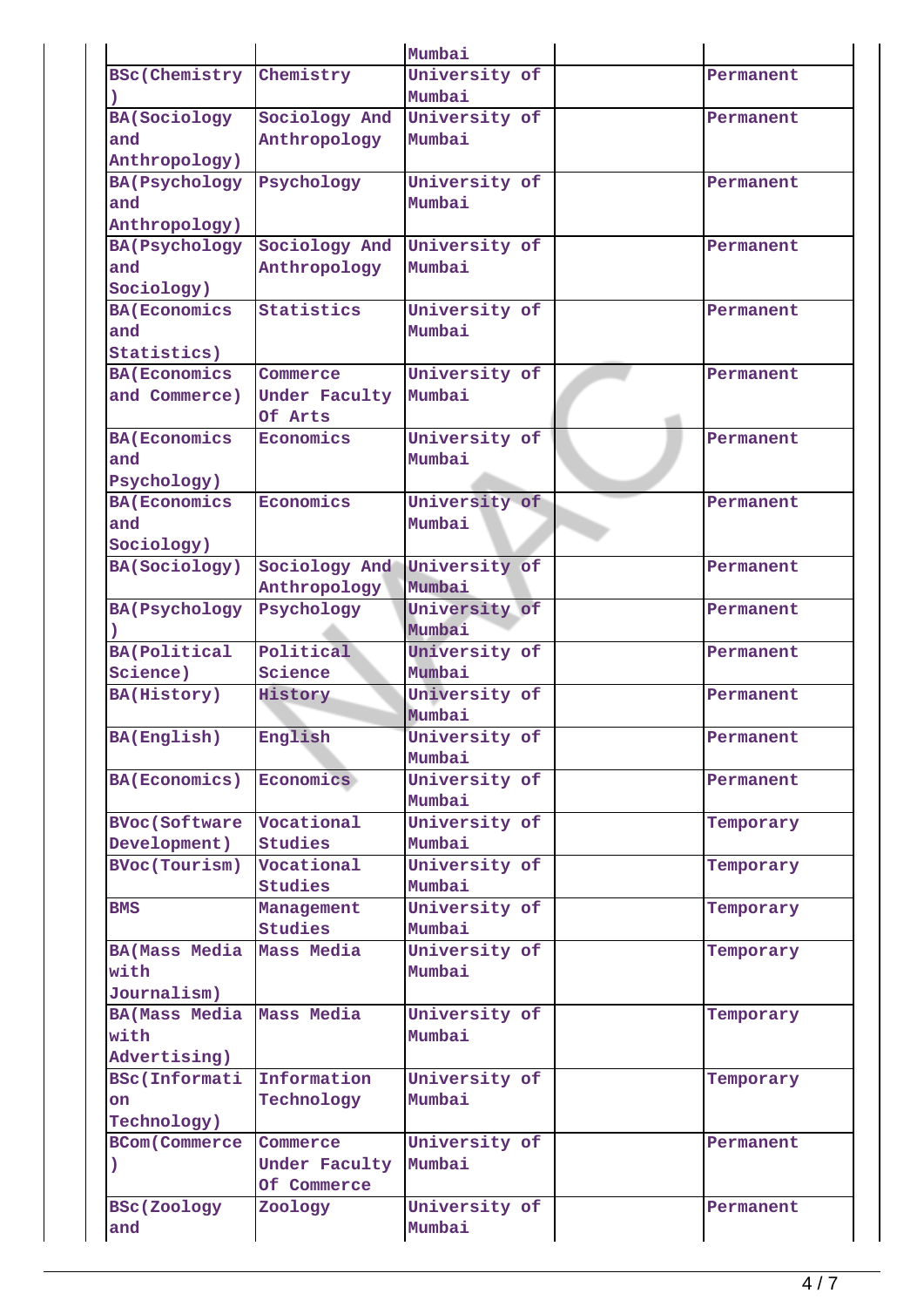|                      |                | Mumbai        |           |
|----------------------|----------------|---------------|-----------|
| <b>BSc(Chemistry</b> | Chemistry      | University of | Permanent |
|                      |                | Mumbai        |           |
| <b>BA(Sociology</b>  | Sociology And  | University of | Permanent |
| and                  | Anthropology   | Mumbai        |           |
| Anthropology)        |                |               |           |
| <b>BA(Psychology</b> | Psychology     | University of | Permanent |
| and                  |                | Mumbai        |           |
| Anthropology)        |                |               |           |
| <b>BA(Psychology</b> | Sociology And  | University of | Permanent |
| and                  | Anthropology   | Mumbai        |           |
| Sociology)           |                |               |           |
| <b>BA(Economics</b>  | Statistics     | University of | Permanent |
| and                  |                | Mumbai        |           |
| Statistics)          |                |               |           |
| <b>BA(Economics</b>  | Commerce       | University of | Permanent |
| and Commerce)        | Under Faculty  | Mumbai        |           |
|                      | Of Arts        |               |           |
| <b>BA(Economics</b>  | Economics      | University of | Permanent |
| and                  |                | Mumbai        |           |
| Psychology)          |                |               |           |
| <b>BA(Economics</b>  | Economics      | University of | Permanent |
| and                  |                | Mumbai        |           |
| Sociology)           |                |               |           |
| BA(Sociology)        | Sociology And  | University of | Permanent |
|                      | Anthropology   | Mumbai        |           |
| <b>BA(Psychology</b> | Psychology     | University of | Permanent |
|                      |                | Mumbai        |           |
| <b>BA(Political</b>  | Political      | University of | Permanent |
| Science)             | Science        | Mumbai        |           |
| BA(History)          | History        | University of | Permanent |
|                      |                | Mumbai        |           |
| BA(English)          | English        | University of | Permanent |
|                      |                | Mumbai        |           |
| <b>BA(Economics)</b> | Economics      | University of | Permanent |
|                      |                | Mumbai        |           |
| <b>BVoc(Software</b> | Vocational     | University of | Temporary |
| Development)         | Studies        | Mumbai        |           |
| <b>BVoc(Tourism)</b> | Vocational     | University of | Temporary |
|                      | Studies        | Mumbai        |           |
| <b>BMS</b>           | Management     | University of | Temporary |
|                      | <b>Studies</b> | Mumbai        |           |
| <b>BA(Mass Media</b> | Mass Media     | University of | Temporary |
| with                 |                | Mumbai        |           |
| Journalism)          |                |               |           |
| <b>BA(Mass Media</b> | Mass Media     | University of | Temporary |
| with                 |                | Mumbai        |           |
| Advertising)         |                |               |           |
| <b>BSc(Informati</b> | Information    | University of | Temporary |
| on                   | Technology     | Mumbai        |           |
| Technology)          |                |               |           |
| <b>BCom(Commerce</b> | Commerce       | University of | Permanent |
| $\mathcal{L}$        | Under Faculty  | Mumbai        |           |
|                      | Of Commerce    |               |           |
| BSc(Zoology          | Zoology        | University of | Permanent |
| and                  |                | Mumbai        |           |
|                      |                |               |           |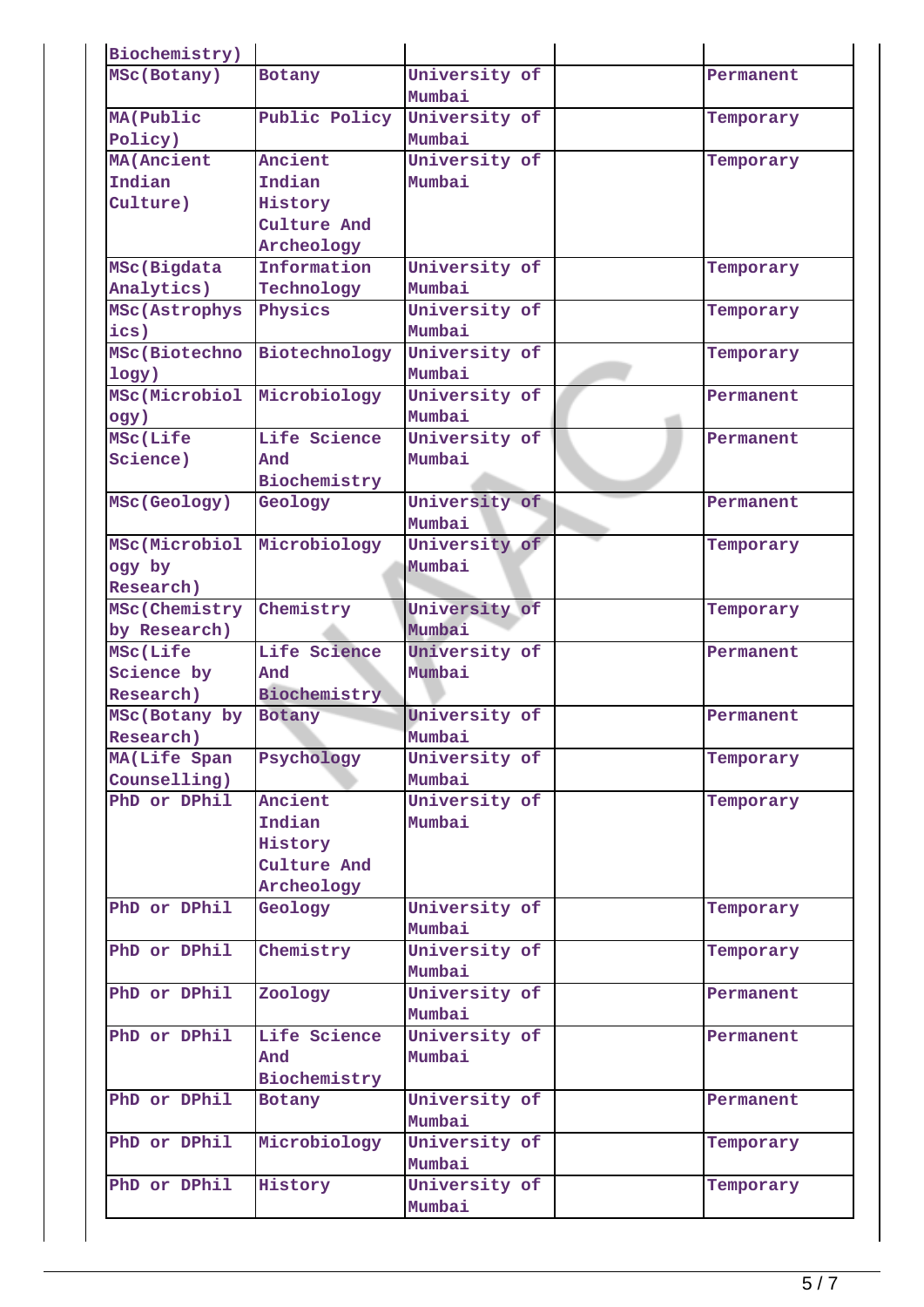| Biochemistry)     |               |               |           |
|-------------------|---------------|---------------|-----------|
| MSc(Botany)       | <b>Botany</b> | University of | Permanent |
|                   |               | Mumbai        |           |
| MA (Public        | Public Policy | University of | Temporary |
| Policy)           |               | Mumbai        |           |
| <b>MA(Ancient</b> | Ancient       | University of | Temporary |
| Indian            | Indian        | Mumbai        |           |
| Culture)          | History       |               |           |
|                   | Culture And   |               |           |
|                   | Archeology    |               |           |
| MSc(Bigdata       | Information   | University of | Temporary |
| Analytics)        | Technology    | Mumbai        |           |
| MSc(Astrophys     | Physics       | University of | Temporary |
| ics)              |               | Mumbai        |           |
| MSc(Biotechno     | Biotechnology | University of | Temporary |
| logy)             |               | Mumbai        |           |
| MSc(Microbiol     | Microbiology  | University of | Permanent |
| ogy)              |               | Mumbai        |           |
| MSc(Life          | Life Science  | University of | Permanent |
| Science)          | And           | Mumbai        |           |
|                   | Biochemistry  |               |           |
| MSc(Geology)      | Geology       | University of | Permanent |
|                   |               | Mumbai        |           |
| MSc(Microbiol     | Microbiology  | University of | Temporary |
| ogy by            |               | Mumbai        |           |
| Research)         |               |               |           |
| MSc(Chemistry     | Chemistry     | University of | Temporary |
| by Research)      |               | Mumbai        |           |
| MSc(Life          | Life Science  | University of | Permanent |
| Science by        | And           | Mumbai        |           |
| Research)         | Biochemistry  |               |           |
| MSc(Botany by     | Botany        | University of | Permanent |
| Research)         |               | Mumbai        |           |
| MA(Life Span      | Psychology    | University of | Temporary |
| Counselling)      |               | Mumbai        |           |
| PhD or DPhil      | Ancient       | University of | Temporary |
|                   | Indian        | Mumbai        |           |
|                   | History       |               |           |
|                   | Culture And   |               |           |
|                   | Archeology    |               |           |
| PhD or DPhil      | Geology       | University of | Temporary |
|                   |               | Mumbai        |           |
| PhD or DPhil      | Chemistry     | University of | Temporary |
|                   |               | Mumbai        |           |
| PhD or DPhil      | Zoology       | University of | Permanent |
|                   |               | Mumbai        |           |
| PhD or DPhil      | Life Science  | University of | Permanent |
|                   | And           | Mumbai        |           |
|                   | Biochemistry  |               |           |
| PhD or DPhil      | Botany        | University of | Permanent |
|                   |               | Mumbai        |           |
| PhD or DPhil      | Microbiology  | University of | Temporary |
|                   |               | Mumbai        |           |
| PhD or DPhil      | History       | University of | Temporary |
|                   |               | Mumbai        |           |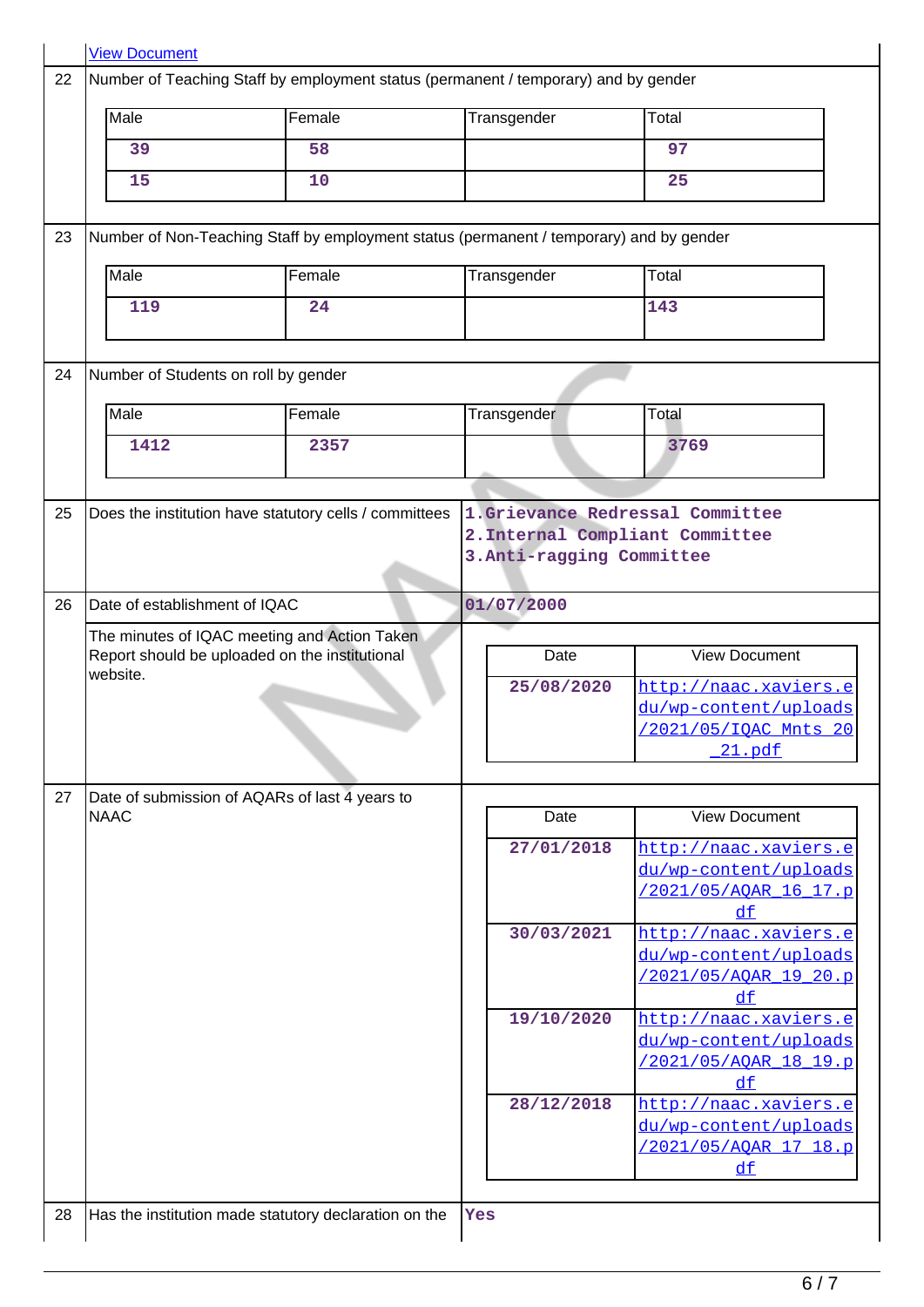|    | <b>View Document</b>                                                                                                                                      |                                                                                                |             |                                                                                          |  |
|----|-----------------------------------------------------------------------------------------------------------------------------------------------------------|------------------------------------------------------------------------------------------------|-------------|------------------------------------------------------------------------------------------|--|
| 22 | Number of Teaching Staff by employment status (permanent / temporary) and by gender                                                                       |                                                                                                |             |                                                                                          |  |
|    | Male                                                                                                                                                      | Female                                                                                         | Transgender | Total                                                                                    |  |
|    | 39                                                                                                                                                        | 58                                                                                             |             | 97                                                                                       |  |
|    | 15                                                                                                                                                        | 10                                                                                             |             | 25                                                                                       |  |
| 23 |                                                                                                                                                           |                                                                                                |             |                                                                                          |  |
|    |                                                                                                                                                           | Number of Non-Teaching Staff by employment status (permanent / temporary) and by gender        |             |                                                                                          |  |
|    | Male                                                                                                                                                      | Female                                                                                         | Transgender | Total                                                                                    |  |
|    | 119                                                                                                                                                       | 24                                                                                             |             | 143                                                                                      |  |
| 24 | Number of Students on roll by gender                                                                                                                      |                                                                                                |             |                                                                                          |  |
|    | Male                                                                                                                                                      | Female                                                                                         | Transgender | Total                                                                                    |  |
|    | 1412                                                                                                                                                      | 2357                                                                                           |             | 3769                                                                                     |  |
|    |                                                                                                                                                           |                                                                                                |             |                                                                                          |  |
| 25 | Does the institution have statutory cells / committees<br>1.Grievance Redressal Committee<br>2. Internal Compliant Committee<br>3. Anti-ragging Committee |                                                                                                |             |                                                                                          |  |
| 26 | Date of establishment of IQAC                                                                                                                             |                                                                                                | 01/07/2000  |                                                                                          |  |
|    |                                                                                                                                                           | The minutes of IQAC meeting and Action Taken<br>Report should be uploaded on the institutional | Date        | <b>View Document</b>                                                                     |  |
|    | website.                                                                                                                                                  |                                                                                                | 25/08/2020  | http://naac.xaviers.e<br>du/wp-content/uploads<br>/2021/05/IQAC Mnts 20<br><u>21.pdf</u> |  |
| 27 |                                                                                                                                                           | Date of submission of AQARs of last 4 years to                                                 |             |                                                                                          |  |
|    | <b>NAAC</b>                                                                                                                                               |                                                                                                | Date        | <b>View Document</b>                                                                     |  |
|    |                                                                                                                                                           |                                                                                                | 27/01/2018  | http://naac.xaviers.e<br>du/wp-content/uploads<br>/2021/05/AOAR 16 17.p<br>$d$ f         |  |
|    |                                                                                                                                                           |                                                                                                | 30/03/2021  | http://naac.xaviers.e<br>du/wp-content/uploads<br>/2021/05/AQAR 19 20.p<br>df            |  |
|    |                                                                                                                                                           |                                                                                                | 19/10/2020  | http://naac.xaviers.e<br>du/wp-content/uploads<br>/2021/05/AOAR 18 19.p<br>df            |  |
|    |                                                                                                                                                           |                                                                                                | 28/12/2018  | http://naac.xaviers.e<br>du/wp-content/uploads<br>/2021/05/AQAR_17_18.p<br>$d$ f         |  |
| 28 |                                                                                                                                                           | Has the institution made statutory declaration on the                                          | Yes         |                                                                                          |  |